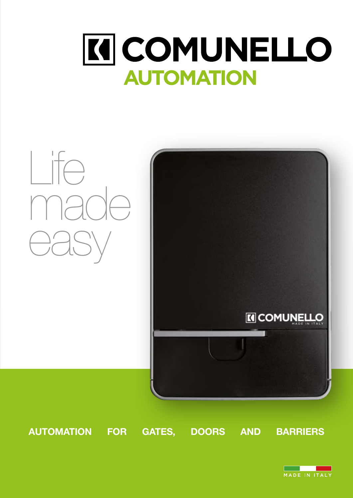# **KI COMUNELLO AUTOMATION**



AUTOMATION FOR GATES, DOORS AND BARRIERS

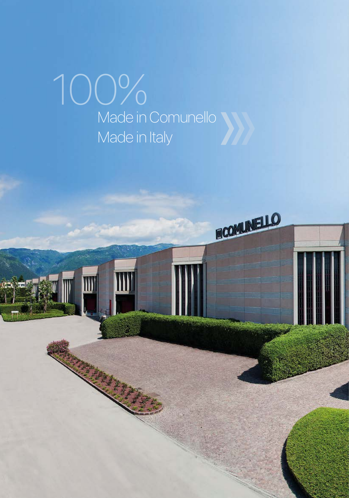## 100% Made in Comunello Made in Italy

III

FICOMUNELLO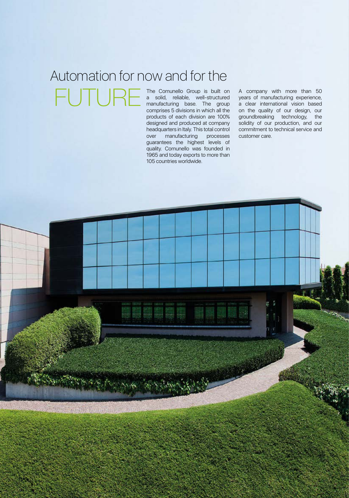#### The Comunello Group is built on Automation for now and for the TU F

a solid, reliable, well-structured manufacturing base. The group comprises 5 divisions in which all the products of each division are 100% designed and produced at company headquarters in Italy. This total control over manufacturing processes guarantees the highest levels of quality. Comunello was founded in 1965 and today exports to more than 105 countries worldwide.

A company with more than 50 years of manufacturing experience, a clear international vision based on the quality of our design, our groundbreaking technology, the solidity of our production, and our commitment to technical service and customer care.

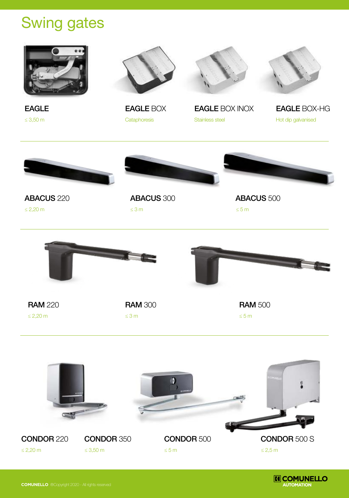### Swing gates



≤ 3,50 m







Cataphoresis **Stainless steel Hot dip galvanised** Hot dip galvanised

EAGLE EAGLE BOX EAGLE BOX INOX EAGLE BOX-HG







ABACUS 220

≤ 2,20 m

ABACUS 300 ≤ 3 m

ABACUS 500 ≤ 5 m



**RAM 220 RAM 300 RAM 500 RAM 500**  $\leq$  2,20 m  $\leq$  3 m  $\leq$  5 m  $\leq$  5 m







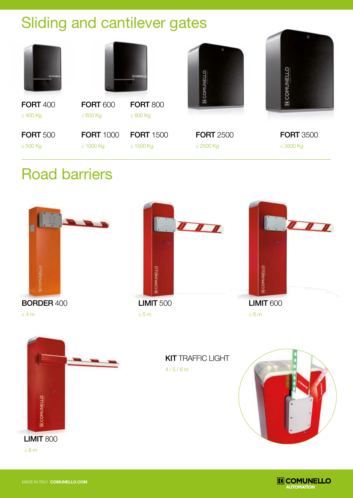## Sliding and cantilever gates

|                                  |                                    | <b>IX COMUNIT</b>                  |                                    | IENN                               |
|----------------------------------|------------------------------------|------------------------------------|------------------------------------|------------------------------------|
| <b>FORT 400</b><br>$\leq 400$ Kg | <b>FORT 600</b><br>$\leq 600$ Kg   | <b>FORT 800</b><br>$\leq 800$ Kg   |                                    | Z                                  |
| <b>FORT 500</b><br>$\leq 500$ Kg | <b>FORT 1000</b><br>$\leq 1000$ Kg | <b>FORT</b> 1500<br>$\leq 1500$ Kg | <b>FORT 2500</b><br>$\leq$ 2500 Kg | <b>FORT 3500</b><br>$\leq$ 3500 Kg |

#### Road barriers





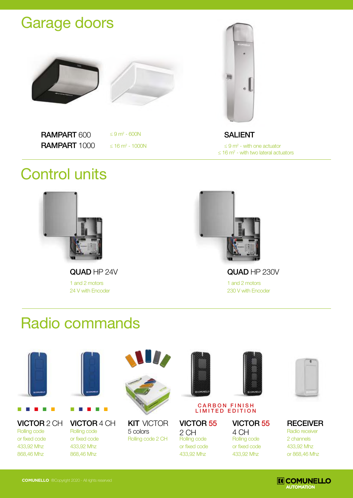#### Garage doors





RAMPART 600 RAMPART 1000

 $≤ 9 m<sup>2</sup> - 600N$ 

 $≤ 16 m<sup>2</sup> - 1000N$ 



SALIENT

 $\leq 16$  m<sup>2</sup> - with two lateral actuators  $\leq$  9 m<sup>2</sup> - with one actuator

### Control units



QUAD HP 24V QUAD HP 230V 1 and 2 motors 24 V with Encoder



1 and 2 motors 230 V with Encoder

### Radio commands



Rolling code or fixed code 433,92 Mhz 868,46 Mhz



**VICTOR** 2 CH **VICTOR** 4 CH **KIT** VICTOR **VICTOR 55 VICTOR 55** Rolling code or fixed code 433,92 Mhz 868,46 Mhz



Rolling code 2 CH **KIT VICTOR** 5 colors



#### CARBON FINISH LIMITED EDITION

4 CH

Rolling code or fixed code 433,92 Mhz

2 CH Rolling code or fixed code 433,92 Mhz





Radio receiver 2 channels 433,92 Mhz or 868,46 Mhz **RECEIVER** 

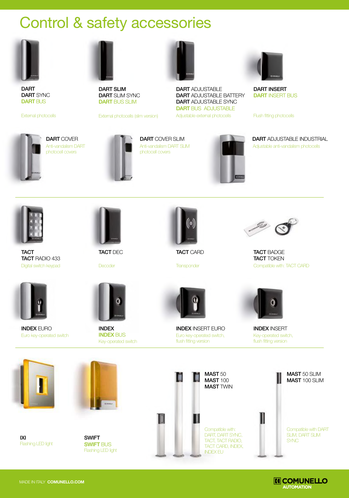### Control & safety accessories



DART DART SYNC DART BUS

External photocells



DART SLIM DART SLIM SYNC DART BUS SLIM

External photocells (slim version)



**DART** ADJUSTABLE DART ADJUSTABLE BATTERY DART ADJUSTABLE SYNC DART BUS ADJUSTABLE Adjustable external photocells



DART INSERT **DART INSERT BUS** 

Flush fitting photocells



Anti-vandalism DART photocell covers



Anti-vandalism DART SLIM photocell covers



**DART** COVER **DART COVER SLIM DART ADJUSTABLE INDUSTRIAL** Adjustable anti-vandalism photocells



**TACT** TACT RADIO 433 Digital switch keypad



TACT DEC

**Decoder** 



INDEX INDEX BUS Key-operated switch



TACT CARD

**Transponder** 

INDEX INSERT EURO



TACT BADGE **TACT TOKEN** Compatible with: TACT CARD



INDEX INSERT Key-operated switch, flush fitting version



INDEX EURO

Euro key-operated switch

IXI Flashing LED light



SWIFT **SWIFT BUS** Flashing LED light

MAST 50 MAST 100 **MAST TWIN** Euro key-operated switch, flush fitting version



MAST 50 SLIM MAST 100 SLIM